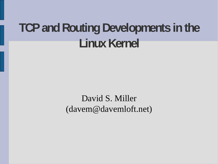### **TCP and Routing Developments in the** Linux Kernel

David S. Miller (davem@davemloft.net)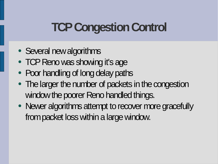### **TCP Congestion Control**

- Several new algorithms
- TCP Reno was showing it's age
- Poor handling of long delay paths
- The larger the number of packets in the congestion window the poorer Reno handled things.
- Newer algorithms attempt to recover more gracefully from packet loss within a large window.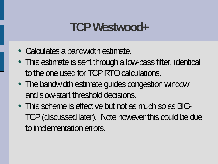#### **TCP Westwood+**

- Calculates a bandwidth estimate.
- This estimate is sent through a low-pass filter, identical to the one used for TCP RTO calculations.
- The bandwidth estimate guides congestion window and slow-start threshold decisions.
- This scheme is effective but not as much so as BIC-TCP (discussed later). Note however this could be due to implementation errors.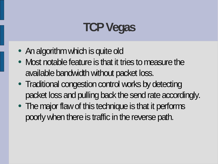### **TCP Vegas**

- An algorithm which is quite old
- Most notable feature is that it tries to measure the available bandwidth without packet loss.
- Traditional congestion control works by detecting packet loss and pulling back the send rate accordingly.
- The major flaw of this technique is that it performs poorly when there is traffic in the reverse path.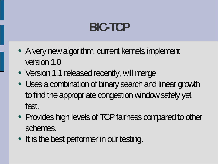### **BIC-TCP**

- A very new algorithm, current kernels implement version 1.0
- Version 1.1 released recently, will merge
- Uses a combination of binary search and linear growth to find the appropriate congestion window safely yet fast.
- Provides high levels of TCP fairness compared to other schemes.
- It is the best performer in our testing.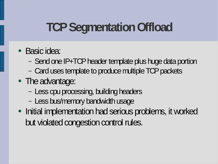## **TCP Segmentation Offload**

- Basic idea:
	- Send one IP+TCP header template plus huge data portion
	- Card uses template to produce multiple TCP packets
- The advantage:
	- Less cpu processing, building headers
	- Less bus/memory bandwidth usage
- Initial implementation had serious problems, it worked but violated congestion control rules.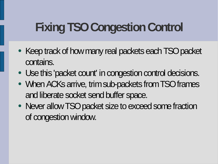# **Fixing TSO Congestion Control**

- Keep track of how many real packets each TSO packet contains.
- Use this 'packet count' in congestion control decisions.
- When ACKs arrive, trim sub-packets from TSO frames and liberate socket send buffer space.
- Never allow TSO packet size to exceed some fraction of congestion window.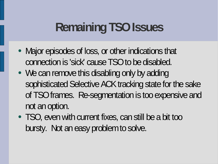### **Remaining TSO Issues**

- Major episodes of loss, or other indications that connection is 'sick' cause TSO to be disabled.
- We can remove this disabling only by adding sophisticated Selective ACK tracking state for the sake of TSO frames. Re-segmentation is too expensive and not an option.
- TSO, even with current fixes, can still be a bit too bursty. Not an easy problem to solve.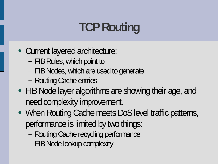# **TCP Routing**

- Current layered architecture:
	- FIB Rules, which point to
	- FIB Nodes, which are used to generate
	- Routing Cache entries
- FIB Node layer algorithms are showing their age, and need complexity improvement.
- When Routing Cache meets DoS level traffic patterns, performance is limited by two things:
	- Routing Cache recycling performance
	- FIB Node lookup complexity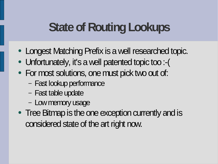#### **State of Routing Lookups**

- Longest Matching Prefix is a well researched topic.
- Unfortunately, it's a well patented topic too :- (
- For most solutions, one must pick two out of:
	- Fast lookup performance
	- Fast table update
	- Low memory usage
- Tree Bitmap is the one exception currently and is considered state of the art right now.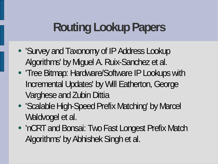### **Routing Lookup Papers**

- 'Survey and Taxonomy of IP Address Lookup Algorithms' by Miguel A. Ruix-Sanchez et al.
- 'Tree Bitmap: Hardware/Software IP Lookups with Incremental Updates' by Will Eatherton, George Varghese and Zubin Dittia
- 'Scalable High-Speed Prefix Matching' by Marcel Waldvogel et al.
- 'nCRT and Bonsai: Two Fast Longest Prefix Match Algorithms' by Abhishek Singh et al.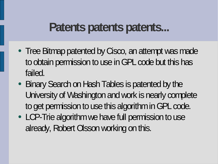#### **Patents patents patents...**

- Tree Bitmap patented by Cisco, an attempt was made to obtain permission to use in GPL code but this has failed.
- Binary Search on Hash Tables is patented by the University of Washington and work is nearly complete to get permission to use this algorithm in GPL code.
- LCP-Trie algorithm we have full permission to use already, Robert Olsson working on this.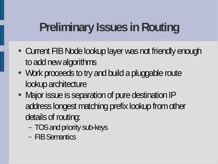# **Preliminary Issues in Routing**

- Current FIB Node lookup layer was not friendly enough to add new algorithms
- Work proceeds to try and build a pluggable route lookup architecture
- Major issue is separation of pure destination IP address longest matching prefix lookup from other details of routing:
	- TOS and priority sub-keys
	- FIBSemantics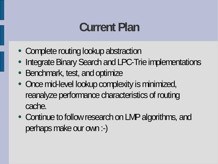#### **Current Plan**

- Complete routing lookup abstraction
- Integrate Binary Search and LPC-Trie implementations
- Benchmark, test, and optimize
- Once mid-level lookup complexity is minimized, reanalyze performance characteristics of routing cache.
- Continue to follow research on LMP algorithms, and perhaps make our own :-)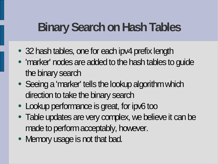#### **Binary Search on Hash Tables**

- 32 hash tables, one for each ipv4 prefix length
- 'marker' nodes are added to the hash tables to guide the binary search
- Seeing a 'marker' tells the lookup algorithm which direction to take the binary search
- Lookup performance is great, for ipv6 too
- Table updates are very complex, we believe it can be made to perform acceptably, however.
- Memory usage is not that bad.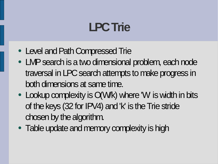### **LPCTrie**

- Level and Path Compressed Trie
- LMP search is a two dimensional problem, each node traversal in LPC search attempts to make progress in both dimensions at same time.
- Lookup complexity is Q(W/k) where 'W is width in bits of the keys (32 for IPV4) and  $k'$  is the Trie stride chosen by the algorithm.
- Table update and memory complexity is high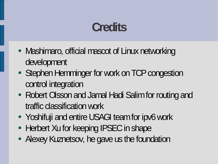#### **Credits**

- Mashimaro, official mascot of Linux networking development
- Stephen Hemminger for work on TCP congestion control integration
- Robert Olsson and Jamal Hadi Salim for routing and traffic classification work
- Yoshifuji and entire USAGI team for ipv6 work
- Herbert Xu for keeping IPSEC in shape
- Alexey Kuznetsov, he gave us the foundation